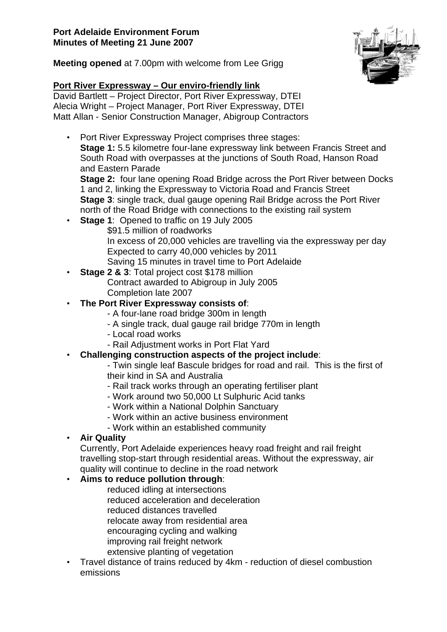

**Meeting opened** at 7.00pm with welcome from Lee Grigg

## **Port River Expressway – Our enviro-friendly link**

David Bartlett – Project Director, Port River Expressway, DTEI Alecia Wright – Project Manager, Port River Expressway, DTEI Matt Allan - Senior Construction Manager, Abigroup Contractors

• Port River Expressway Project comprises three stages: **Stage 1:** 5.5 kilometre four-lane expressway link between Francis Street and South Road with overpasses at the junctions of South Road, Hanson Road and Eastern Parade

**Stage 2:** four lane opening Road Bridge across the Port River between Docks 1 and 2, linking the Expressway to Victoria Road and Francis Street **Stage 3**: single track, dual gauge opening Rail Bridge across the Port River north of the Road Bridge with connections to the existing rail system

- **Stage 1**: Opened to traffic on 19 July 2005 \$91.5 million of roadworks In excess of 20,000 vehicles are travelling via the expressway per day Expected to carry 40,000 vehicles by 2011 Saving 15 minutes in travel time to Port Adelaide
- **Stage 2 & 3: Total project cost \$178 million** Contract awarded to Abigroup in July 2005 Completion late 2007
- **The Port River Expressway consists of**:
	- A four-lane road bridge 300m in length
	- A single track, dual gauge rail bridge 770m in length
	- Local road works
	- Rail Adjustment works in Port Flat Yard
- **Challenging construction aspects of the project include**:
	- Twin single leaf Bascule bridges for road and rail. This is the first of their kind in SA and Australia
	- Rail track works through an operating fertiliser plant
	- Work around two 50,000 Lt Sulphuric Acid tanks
	- Work within a National Dolphin Sanctuary
	- Work within an active business environment
	- Work within an established community
- **Air Quality**

Currently, Port Adelaide experiences heavy road freight and rail freight travelling stop-start through residential areas. Without the expressway, air quality will continue to decline in the road network

## • **Aims to reduce pollution through**:

reduced idling at intersections reduced acceleration and deceleration reduced distances travelled relocate away from residential area encouraging cycling and walking improving rail freight network extensive planting of vegetation

• Travel distance of trains reduced by 4km - reduction of diesel combustion emissions